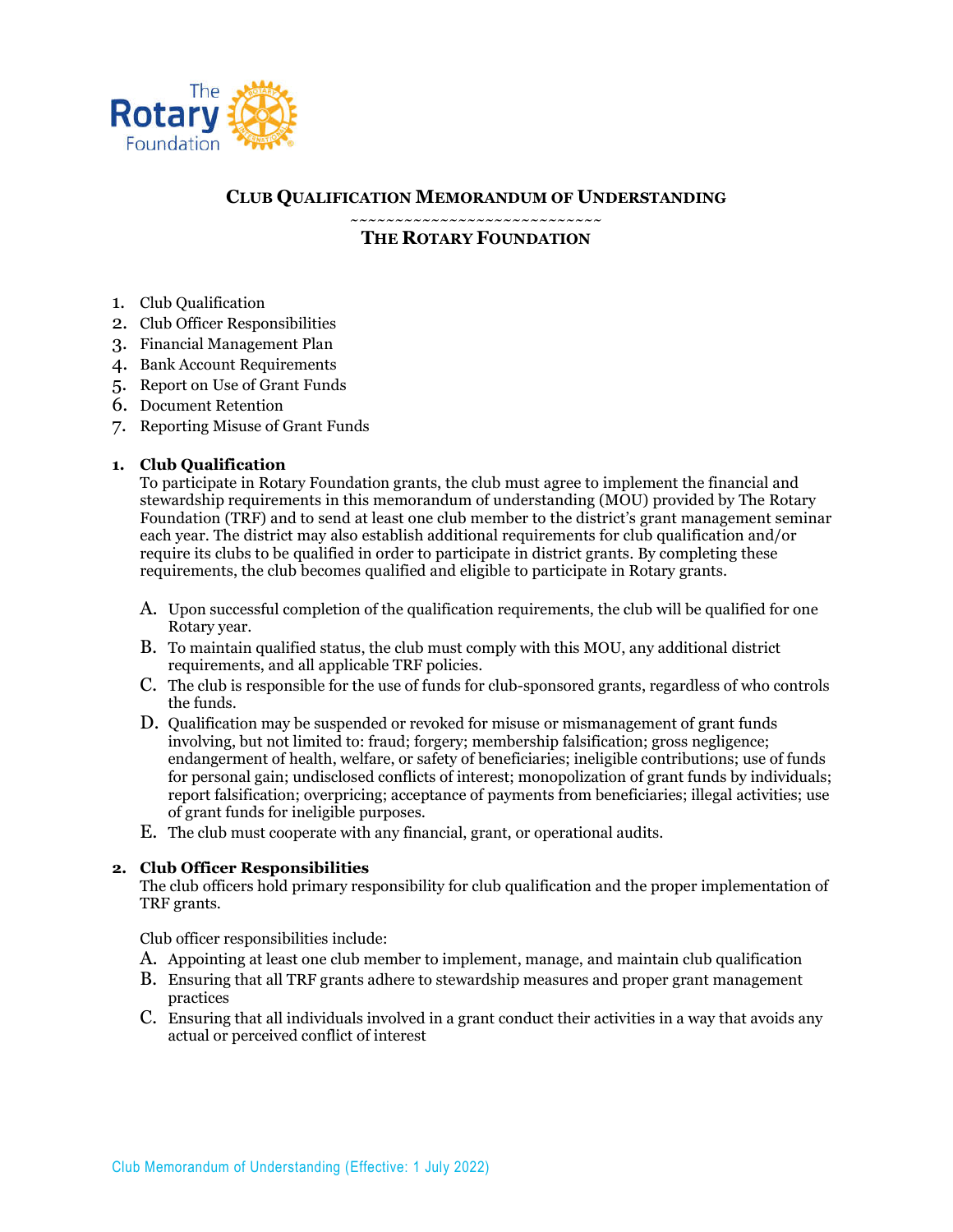

# **CLUB QUALIFICATION MEMORANDUM OF UNDERSTANDING**

~~~~~~~~~~~~~~~~~~~~~~~~~~~~ **THE ROTARY FOUNDATION**

- 1. Club Qualification
- 2. Club Officer Responsibilities
- 3. Financial Management Plan
- 4. Bank Account Requirements
- 5. Report on Use of Grant Funds
- 6. Document Retention
- 7. Reporting Misuse of Grant Funds

### **1. Club Qualification**

To participate in Rotary Foundation grants, the club must agree to implement the financial and stewardship requirements in this memorandum of understanding (MOU) provided by The Rotary Foundation (TRF) and to send at least one club member to the district's grant management seminar each year. The district may also establish additional requirements for club qualification and/or require its clubs to be qualified in order to participate in district grants. By completing these requirements, the club becomes qualified and eligible to participate in Rotary grants.

- A. Upon successful completion of the qualification requirements, the club will be qualified for one Rotary year.
- B. To maintain qualified status, the club must comply with this MOU, any additional district requirements, and all applicable TRF policies.
- C. The club is responsible for the use of funds for club-sponsored grants, regardless of who controls the funds.
- D. Qualification may be suspended or revoked for misuse or mismanagement of grant funds involving, but not limited to: fraud; forgery; membership falsification; gross negligence; endangerment of health, welfare, or safety of beneficiaries; ineligible contributions; use of funds for personal gain; undisclosed conflicts of interest; monopolization of grant funds by individuals; report falsification; overpricing; acceptance of payments from beneficiaries; illegal activities; use of grant funds for ineligible purposes.
- E. The club must cooperate with any financial, grant, or operational audits.

#### **2. Club Officer Responsibilities**

The club officers hold primary responsibility for club qualification and the proper implementation of TRF grants.

Club officer responsibilities include:

- A. Appointing at least one club member to implement, manage, and maintain club qualification
- B. Ensuring that all TRF grants adhere to stewardship measures and proper grant management practices
- C. Ensuring that all individuals involved in a grant conduct their activities in a way that avoids any actual or perceived conflict of interest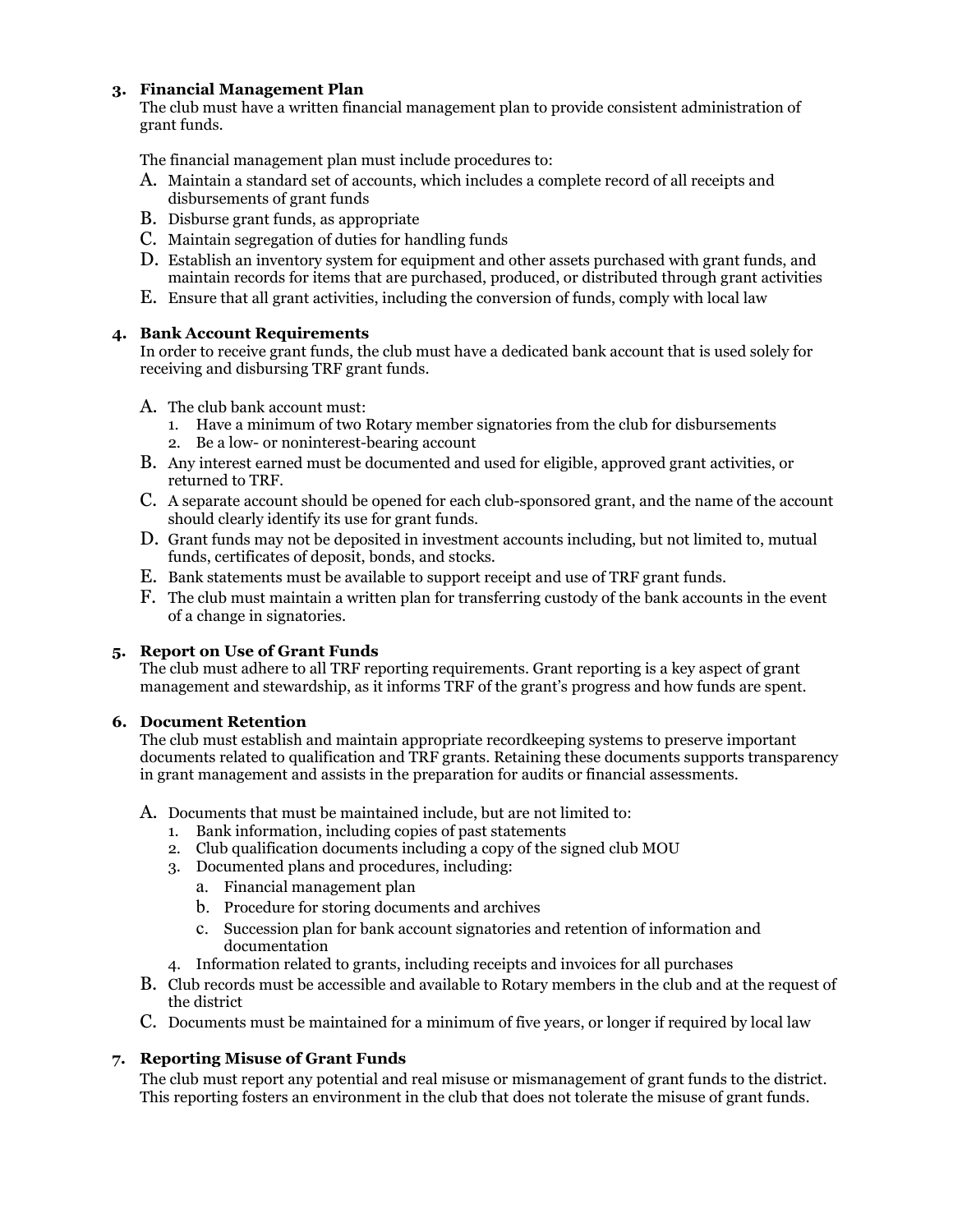## **3. Financial Management Plan**

The club must have a written financial management plan to provide consistent administration of grant funds.

The financial management plan must include procedures to:

- A. Maintain a standard set of accounts, which includes a complete record of all receipts and disbursements of grant funds
- B. Disburse grant funds, as appropriate
- C. Maintain segregation of duties for handling funds
- D. Establish an inventory system for equipment and other assets purchased with grant funds, and maintain records for items that are purchased, produced, or distributed through grant activities
- E. Ensure that all grant activities, including the conversion of funds, comply with local law

### **4. Bank Account Requirements**

In order to receive grant funds, the club must have a dedicated bank account that is used solely for receiving and disbursing TRF grant funds.

- A. The club bank account must:
	- 1. Have a minimum of two Rotary member signatories from the club for disbursements
	- 2. Be a low- or noninterest-bearing account
- B. Any interest earned must be documented and used for eligible, approved grant activities, or returned to TRF.
- C. A separate account should be opened for each club-sponsored grant, and the name of the account should clearly identify its use for grant funds.
- D. Grant funds may not be deposited in investment accounts including, but not limited to, mutual funds, certificates of deposit, bonds, and stocks.
- E. Bank statements must be available to support receipt and use of TRF grant funds.
- F. The club must maintain a written plan for transferring custody of the bank accounts in the event of a change in signatories.

### **5. Report on Use of Grant Funds**

The club must adhere to all TRF reporting requirements. Grant reporting is a key aspect of grant management and stewardship, as it informs TRF of the grant's progress and how funds are spent.

#### **6. Document Retention**

The club must establish and maintain appropriate recordkeeping systems to preserve important documents related to qualification and TRF grants. Retaining these documents supports transparency in grant management and assists in the preparation for audits or financial assessments.

### A. Documents that must be maintained include, but are not limited to:

- 1. Bank information, including copies of past statements
- 2. Club qualification documents including a copy of the signed club MOU
- 3. Documented plans and procedures, including:
	- a. Financial management plan
	- b. Procedure for storing documents and archives
	- c. Succession plan for bank account signatories and retention of information and documentation
- 4. Information related to grants, including receipts and invoices for all purchases
- B. Club records must be accessible and available to Rotary members in the club and at the request of the district
- C. Documents must be maintained for a minimum of five years, or longer if required by local law

## **7. Reporting Misuse of Grant Funds**

The club must report any potential and real misuse or mismanagement of grant funds to the district. This reporting fosters an environment in the club that does not tolerate the misuse of grant funds.